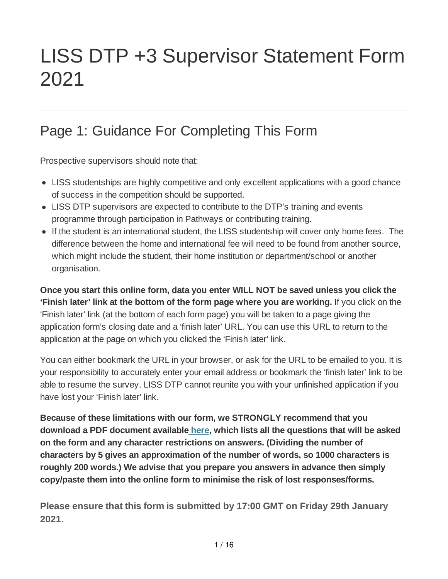# LISS DTP +3 Supervisor Statement Form 2021

## Page 1: Guidance For Completing This Form

Prospective supervisors should note that:

- LISS studentships are highly competitive and only excellent applications with a good chance of success in the competition should be supported.
- LISS DTP supervisors are expected to contribute to the DTP's training and events programme through participation in Pathways or contributing training.
- If the student is an international student, the LISS studentship will cover only home fees. The difference between the home and international fee will need to be found from another source, which might include the student, their home institution or department/school or another organisation.

**Once you start this online form, data you enter WILL NOT be saved unless you click the 'Finish later' link at the bottom of the form page where you are working.** If you click on the 'Finish later' link (at the bottom of each form page) you will be taken to a page giving the application form's closing date and a 'finish later' URL. You can use this URL to return to the application at the page on which you clicked the 'Finish later' link.

You can either bookmark the URL in your browser, or ask for the URL to be emailed to you. It is your responsibility to accurately enter your email address or bookmark the 'finish later' link to be able to resume the survey. LISS DTP cannot reunite you with your unfinished application if you have lost your 'Finish later' link.

**Because of these limitations with our form, we STRONGLY recommend that you download a PDF document available here, which lists all the questions that will be asked on the form and any character restrictions on answers. (Dividing the number of characters by 5 gives an approximation of the number of words, so 1000 characters is roughly 200 words.) We advise that you prepare you answers in advance then simply copy/paste them into the online form to minimise the risk of lost responses/forms.**

**Please ensure that this form is submitted by 17:00 GMT on Friday 29th January 2021.**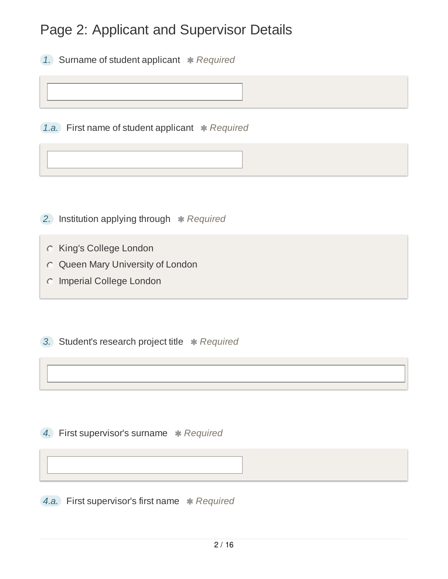#### Page 2: Applicant and Supervisor Details

*1.* Surname of student applicant *Required*

*1.a.* First name of student applicant *Required*

**2.** Institution applying through  $*$  Required

King's College London

Queen Mary University of London

Imperial College London

**3.** Student's research project title \* Required

**4.** First supervisor's surname \* Required

*4.a.* First supervisor's first name *Required*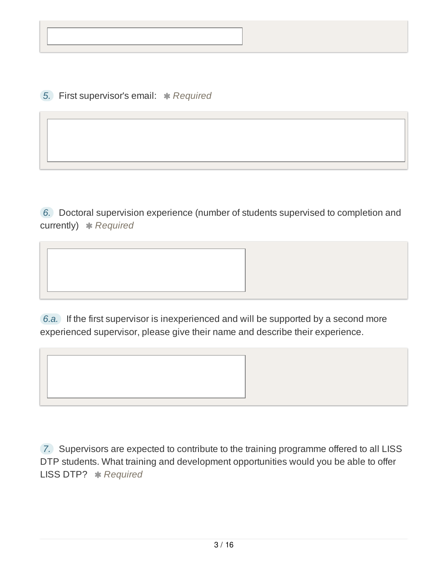*5.* First supervisor's email: *Required*

*6.* Doctoral supervision experience (number of students supervised to completion and currently) **\*** Required

*6.a.* If the first supervisor is inexperienced and will be supported by a second more experienced supervisor, please give their name and describe their experience.

*7.* Supervisors are expected to contribute to the training programme offered to all LISS DTP students. What training and development opportunities would you be able to offer LISS DTP? *Required*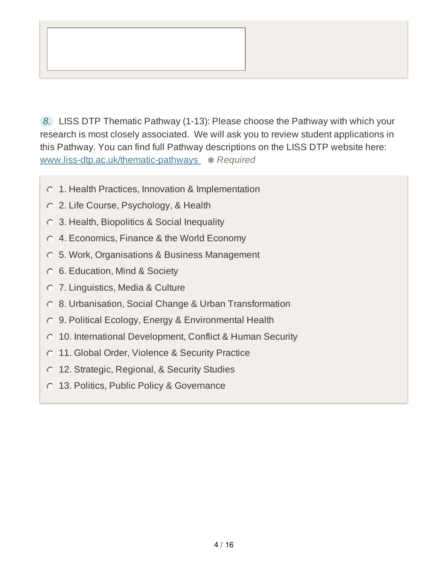

*8.* LISS DTP Thematic Pathway (1-13): Please choose the Pathway with which your research is most closely associated. We will ask you to review student applications in this Pathway. You can find full Pathway descriptions on the LISS DTP website here: www.liss-dtp.ac.uk/thematic-pathways **\*** Required

- 1. Health Practices, Innovation & Implementation
- 2. Life Course, Psychology, & Health
- 3. Health, Biopolitics & Social Inequality
- 4. Economics, Finance & the World Economy
- 5. Work, Organisations & Business Management
- 6. Education, Mind & Society
- 7. Linguistics, Media & Culture
- 8. Urbanisation, Social Change & Urban Transformation
- 9. Political Ecology, Energy & Environmental Health
- 10. International Development, Conflict & Human Security
- **11. Global Order, Violence & Security Practice**
- 12. Strategic, Regional, & Security Studies
- 13. Politics, Public Policy & Governance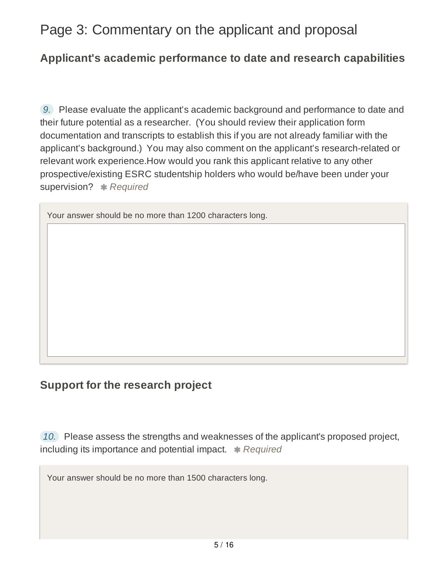#### Page 3: Commentary on the applicant and proposal

#### **Applicant's academic performance to date and research capabilities**

*9.* Please evaluate the applicant's academic background and performance to date and their future potential as a researcher. (You should review their application form documentation and transcripts to establish this if you are not already familiar with the applicant's background.) You may also comment on the applicant's research-related or relevant work experience.How would you rank this applicant relative to any other prospective/existing ESRC studentship holders who would be/have been under your supervision? **\*** Required

Your answer should be no more than 1200 characters long.

#### **Support for the research project**

*10.* Please assess the strengths and weaknesses of the applicant's proposed project, including its importance and potential impact. **\*** Required

Your answer should be no more than 1500 characters long.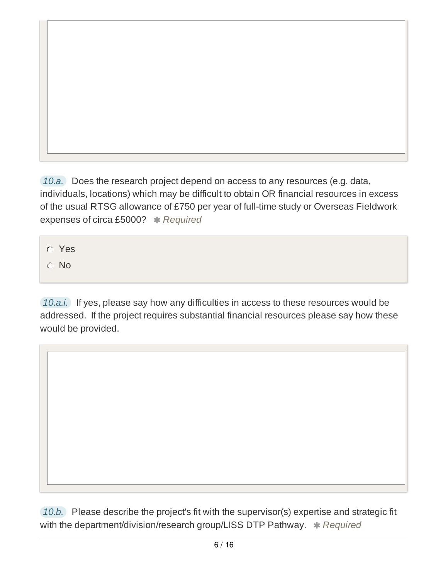*10.a.* Does the research project depend on access to any resources (e.g. data, individuals, locations) which may be difficult to obtain OR financial resources in excess of the usual RTSG allowance of £750 per year of full-time study or Overseas Fieldwork expenses of circa £5000? \* Required

Yes

C No

*10.a.i.* If yes, please say how any difficulties in access to these resources would be addressed. If the project requires substantial financial resources please say how these would be provided.

*10.b.* Please describe the project's fit with the supervisor(s) expertise and strategic fit with the department/division/research group/LISS DTP Pathway.  $*$  Required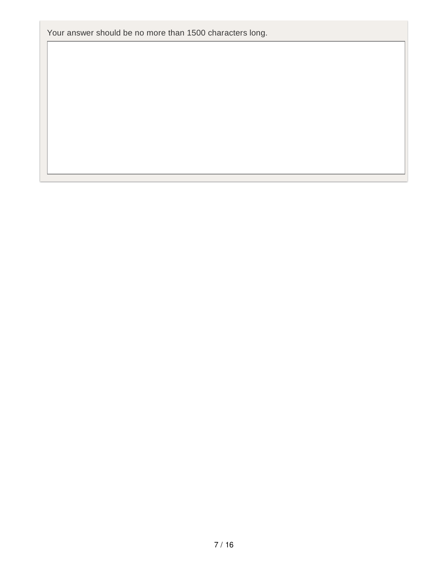Your answer should be no more than 1500 characters long.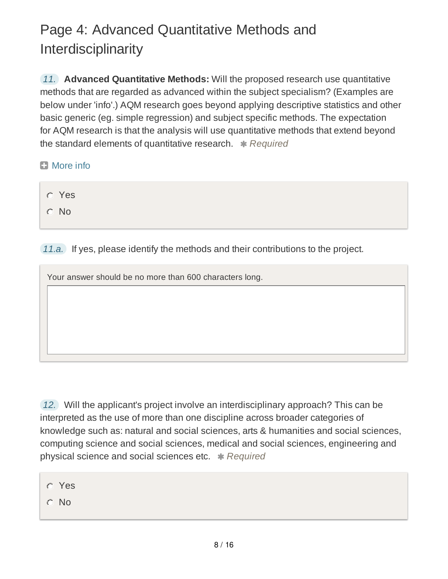# Page 4: Advanced Quantitative Methods and Interdisciplinarity

*11.* **Advanced Quantitative Methods:** Will the proposed research use quantitative methods that are regarded as advanced within the subject specialism? (Examples are below under 'info'.) AQM research goes beyond applying descriptive statistics and other basic generic (eg. simple regression) and subject specific methods. The expectation for AQM research is that the analysis will use quantitative methods that extend beyond the standard elements of quantitative research. \* Required

- **El** More info
	- Yes C No

*11.a.* If yes, please identify the methods and their contributions to the project.

Your answer should be no more than 600 characters long.

*12.* Will the applicant's project involve an interdisciplinary approach? This can be interpreted as the use of more than one discipline across broader categories of knowledge such as: natural and social sciences, arts & humanities and social sciences, computing science and social sciences, medical and social sciences, engineering and physical science and social sciences etc. *Required*

- Yes
- No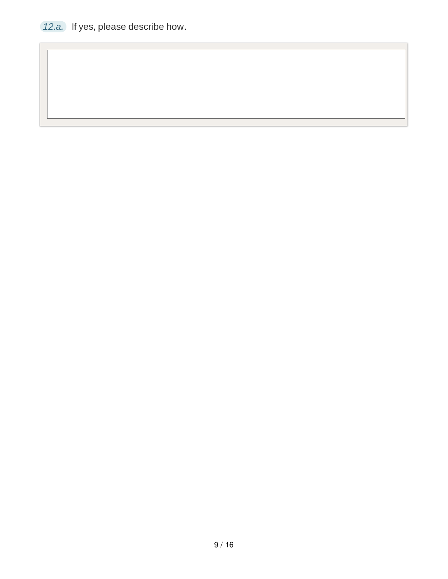*12.a.* If yes, please describe how.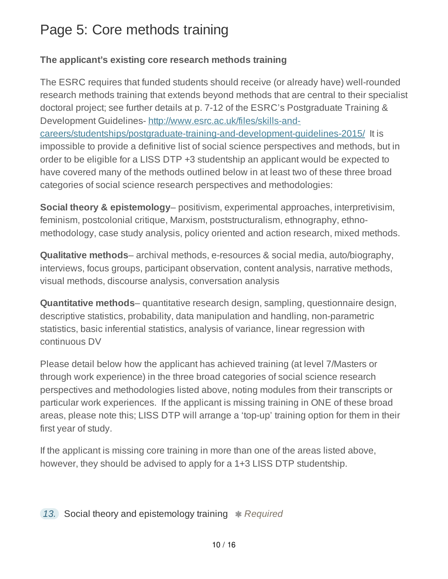### Page 5: Core methods training

#### **The applicant's existing core research methods training**

The ESRC requires that funded students should receive (or already have) well-rounded research methods training that extends beyond methods that are central to their specialist doctoral project; see further details at p. 7-12 of the ESRC's Postgraduate Training & Development Guidelines- http://www.esrc.ac.uk/files/skills-andcareers/studentships/postgraduate-training-and-development-guidelines-2015/ It is impossible to provide a definitive list of social science perspectives and methods, but in order to be eligible for a LISS DTP +3 studentship an applicant would be expected to have covered many of the methods outlined below in at least two of these three broad categories of social science research perspectives and methodologies:

**Social theory & epistemology**– positivism, experimental approaches, interpretivisim, feminism, postcolonial critique, Marxism, poststructuralism, ethnography, ethnomethodology, case study analysis, policy oriented and action research, mixed methods.

**Qualitative methods**– archival methods, e-resources & social media, auto/biography, interviews, focus groups, participant observation, content analysis, narrative methods, visual methods, discourse analysis, conversation analysis

**Quantitative methods**– quantitative research design, sampling, questionnaire design, descriptive statistics, probability, data manipulation and handling, non-parametric statistics, basic inferential statistics, analysis of variance, linear regression with continuous DV

Please detail below how the applicant has achieved training (at level 7/Masters or through work experience) in the three broad categories of social science research perspectives and methodologies listed above, noting modules from their transcripts or particular work experiences. If the applicant is missing training in ONE of these broad areas, please note this; LISS DTP will arrange a 'top-up' training option for them in their first year of study.

If the applicant is missing core training in more than one of the areas listed above, however, they should be advised to apply for a 1+3 LISS DTP studentship.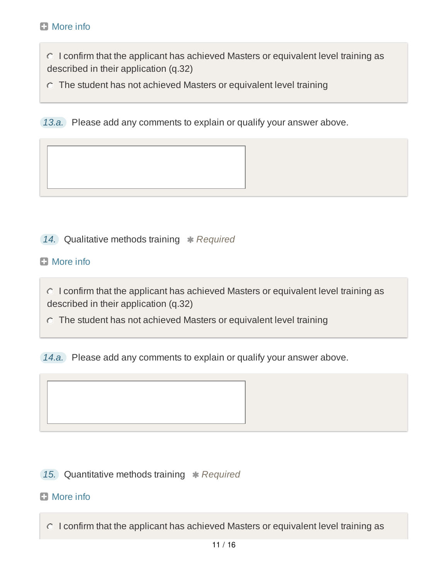$\circ$  I confirm that the applicant has achieved Masters or equivalent level training as described in their application (q.32)

The student has not achieved Masters or equivalent level training

*13.a.* Please add any comments to explain or qualify your answer above.

**14.** Qualitative methods training \* Required

**El** More info

 $\circ$  I confirm that the applicant has achieved Masters or equivalent level training as described in their application (q.32)

The student has not achieved Masters or equivalent level training

*14.a.* Please add any comments to explain or qualify your answer above.

**15.** Quantitative methods training \* Required

#### **El** More info

 $\circ$  I confirm that the applicant has achieved Masters or equivalent level training as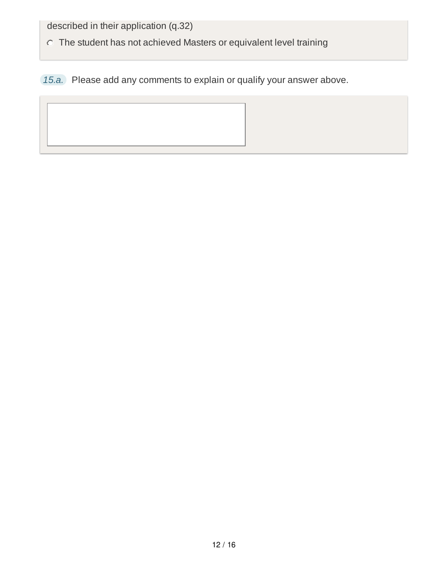described in their application (q.32)

The student has not achieved Masters or equivalent level training

*15.a.* Please add any comments to explain or qualify your answer above.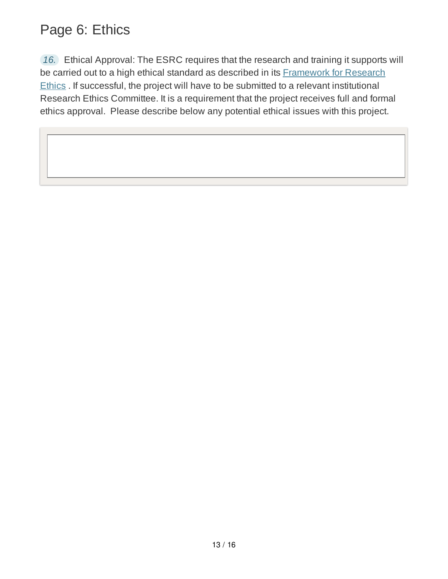#### Page 6: Ethics

*16.* Ethical Approval: The ESRC requires that the research and training it supports will be carried out to a high ethical standard as described in its **Framework for Research** Ethics . If successful, the project will have to be submitted to a relevant institutional Research Ethics Committee. It is a requirement that the project receives full and formal ethics approval. Please describe below any potential ethical issues with this project.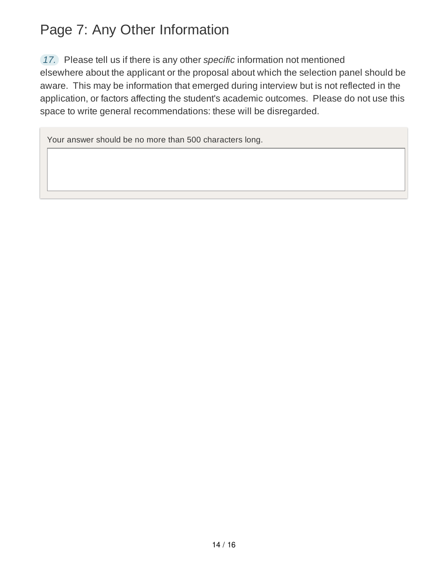### Page 7: Any Other Information

*17.* Please tell us if there is any other *specific* information not mentioned elsewhere about the applicant or the proposal about which the selection panel should be aware. This may be information that emerged during interview but is not reflected in the

application, or factors affecting the student's academic outcomes. Please do not use this space to write general recommendations: these will be disregarded.

Your answer should be no more than 500 characters long.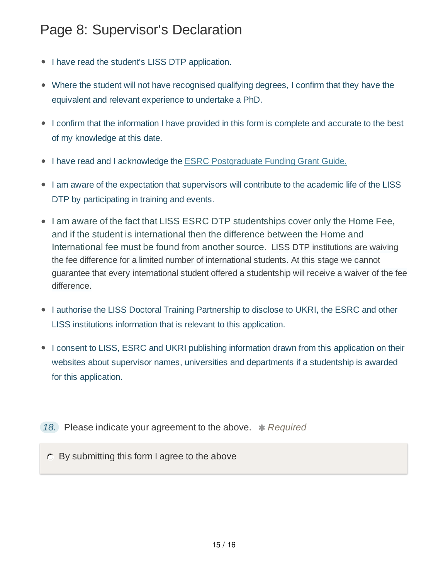#### Page 8: Supervisor's Declaration

- I have read the student's LISS DTP application.
- Where the student will not have recognised qualifying degrees, I confirm that they have the equivalent and relevant experience to undertake a PhD.
- I confirm that the information I have provided in this form is complete and accurate to the best of my knowledge at this date.
- I have read and I acknowledge the ESRC Postgraduate Funding Grant Guide.
- I am aware of the expectation that supervisors will contribute to the academic life of the LISS DTP by participating in training and events.
- I am aware of the fact that LISS ESRC DTP studentships cover only the Home Fee, and if the student is international then the difference between the Home and International fee must be found from another source. LISS DTP institutions are waiving the fee difference for a limited number of international students. At this stage we cannot guarantee that every international student offered a studentship will receive a waiver of the fee difference.
- I authorise the LISS Doctoral Training Partnership to disclose to UKRI, the ESRC and other LISS institutions information that is relevant to this application.
- I consent to LISS, ESRC and UKRI publishing information drawn from this application on their websites about supervisor names, universities and departments if a studentship is awarded for this application.
- 18. Please indicate your agreement to the above. *\* Required*

 $\circ$  By submitting this form I agree to the above